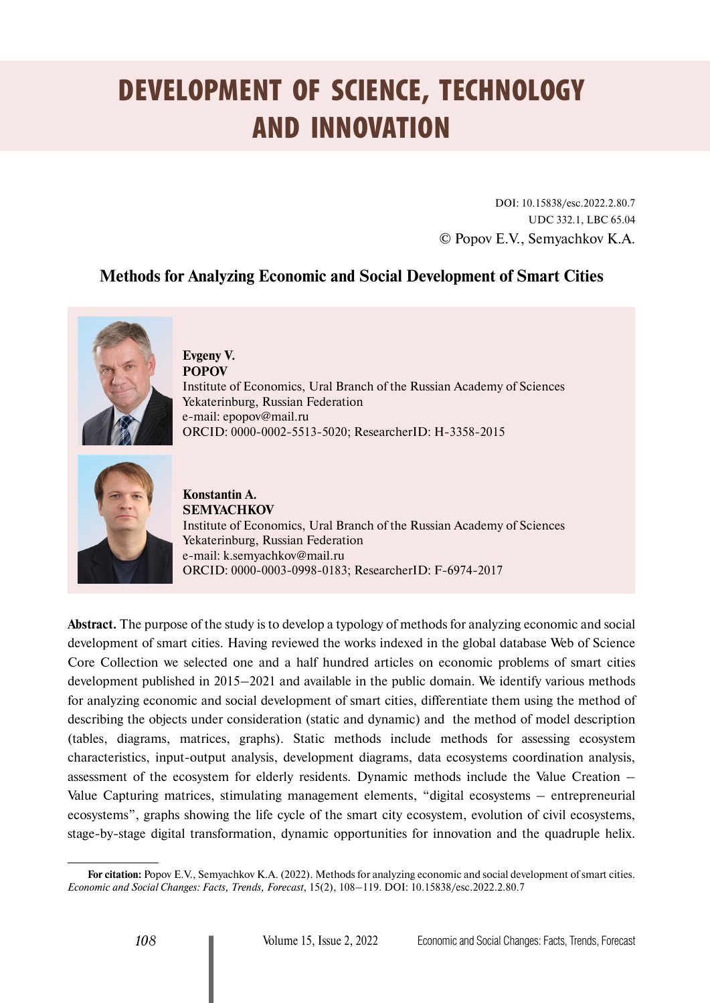# DEVELOPMENT OF SCIENCE, TECHNOLOGY AND INNOVATION

DOI: 10.15838/esc.2022.2.80.7 UDC 332.1, LBC 65.04 © Popov E.V., Semyachkov K.A.

## **Methods for Analyzing Economic and Social Development of Smart Cities**



**Evgeny V. POPOV** Institute of Economics, Ural Branch of the Russian Academy of Sciences Yekaterinburg, Russian Federation e-mail: [epopov@mail.ru](mailto:epopov@mail.ru) ORCID: [0000-0002-5513-5020](https://orcid.org/0000-0002-5513-5020); ResearcherID: [H-3358-2015](https://publons.com/researcher/2393371/evgeny-v-popov/)



**Konstantin A. SEMYACHKOV** Institute of Economics, Ural Branch of the Russian Academy of Sciences Yekaterinburg, Russian Federation e-mail: [k.semyachkov@mail.ru](mailto:k.semyachkov@mail.ru) ORCID: [0000-0003-0998-0183](https://orcid.org/0000-0003-0998-0183); ResearcherID: [F-6974-2017](https://publons.com/researcher/2126818/konstantin-semyachkov/)

**Abstract.** The purpose of the study is to develop a typology of methods for analyzing economic and social development of smart cities. Having reviewed the works indexed in the global database Web of Science Core Collection we selected one and a half hundred articles on economic problems of smart cities development published in 2015–2021 and available in the public domain. We identify various methods for analyzing economic and social development of smart cities, differentiate them using the method of describing the objects under consideration (static and dynamic) and the method of model description (tables, diagrams, matrices, graphs). Static methods include methods for assessing ecosystem characteristics, input-output analysis, development diagrams, data ecosystems coordination analysis, assessment of the ecosystem for elderly residents. Dynamic methods include the Value Creation – Value Capturing matrices, stimulating management elements, "digital ecosystems – entrepreneurial ecosystems", graphs showing the life cycle of the smart city ecosystem, evolution of civil ecosystems, stage-by-stage digital transformation, dynamic opportunities for innovation and the quadruple helix.

**For citation:** Popov E.V., Semyachkov K.A. (2022). Methods for analyzing economic and social development of smart cities. *Economic and Social Changes: Facts, Trends, Forecast*, 15(2), 108–119. DOI: 10.15838/esc.2022.2.80.7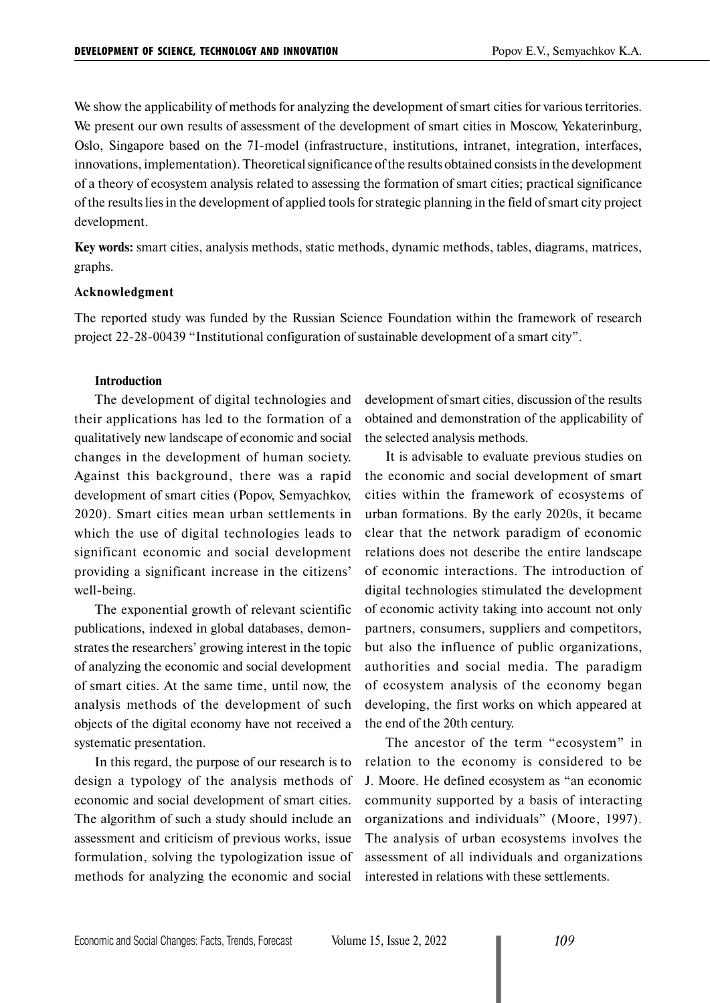We show the applicability of methods for analyzing the development of smart cities for various territories. We present our own results of assessment of the development of smart cities in Moscow, Yekaterinburg, Oslo, Singapore based on the 7I-model (infrastructure, institutions, intranet, integration, interfaces, innovations, implementation). Theoretical significance of the results obtained consists in the development of a theory of ecosystem analysis related to assessing the formation of smart cities; practical significance of the results lies in the development of applied tools for strategic planning in the field of smart city project development.

**Key words:** smart cities, analysis methods, static methods, dynamic methods, tables, diagrams, matrices, graphs.

#### **Acknowledgment**

The reported study was funded by the Russian Science Foundation within the framework of research project 22-28-00439 "Institutional configuration of sustainable development of a smart city".

#### **Introduction**

The development of digital technologies and their applications has led to the formation of a qualitatively new landscape of economic and social changes in the development of human society. Against this background, there was a rapid development of smart cities (Popov, Semyachkov, 2020). Smart cities mean urban settlements in which the use of digital technologies leads to significant economic and social development providing a significant increase in the citizens' well-being.

The exponential growth of relevant scientific publications, indexed in global databases, demonstrates the researchers' growing interest in the topic of analyzing the economic and social development of smart cities. At the same time, until now, the analysis methods of the development of such objects of the digital economy have not received a systematic presentation.

In this regard, the purpose of our research is to design a typology of the analysis methods of economic and social development of smart cities. The algorithm of such a study should include an assessment and criticism of previous works, issue formulation, solving the typologization issue of methods for analyzing the economic and social

development of smart cities, discussion of the results obtained and demonstration of the applicability of the selected analysis methods.

It is advisable to evaluate previous studies on the economic and social development of smart cities within the framework of ecosystems of urban formations. By the early 2020s, it became clear that the network paradigm of economic relations does not describe the entire landscape of economic interactions. The introduction of digital technologies stimulated the development of economic activity taking into account not only partners, consumers, suppliers and competitors, but also the influence of public organizations, authorities and social media. The paradigm of ecosystem analysis of the economy began developing, the first works on which appeared at the end of the 20th century.

The ancestor of the term "ecosystem" in relation to the economy is considered to be J. Moore. He defined ecosystem as "an economic community supported by a basis of interacting organizations and individuals" (Moore, 1997). The analysis of urban ecosystems involves the assessment of all individuals and organizations interested in relations with these settlements.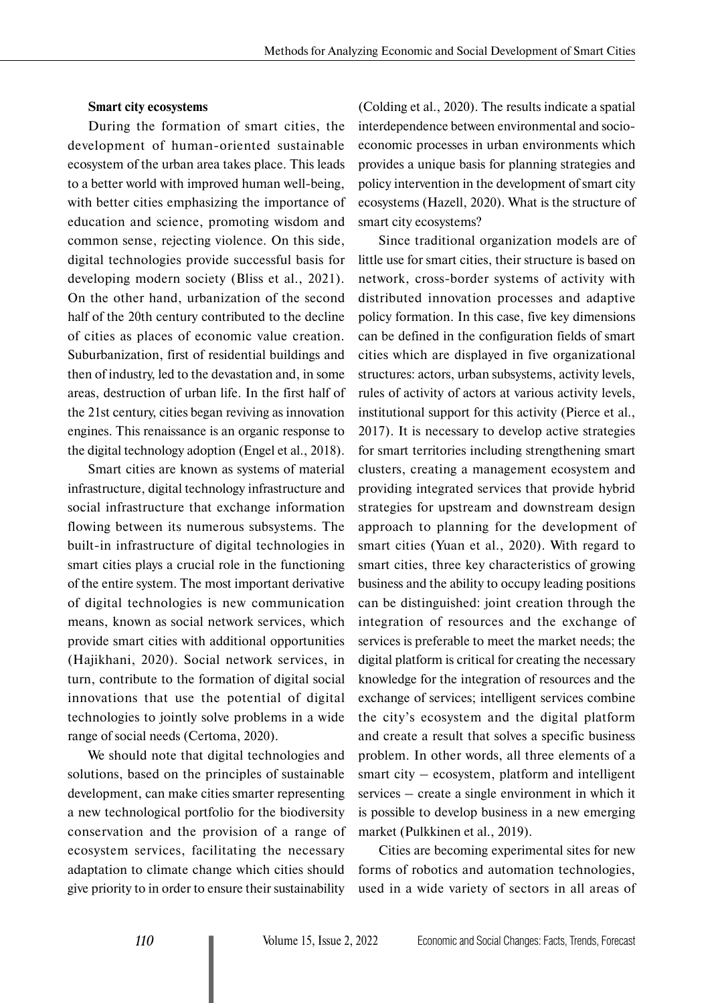#### **Smart city ecosystems**

During the formation of smart cities, the development of human-oriented sustainable ecosystem of the urban area takes place. This leads to a better world with improved human well-being, with better cities emphasizing the importance of education and science, promoting wisdom and common sense, rejecting violence. On this side, digital technologies provide successful basis for developing modern society (Bliss et al., 2021). On the other hand, urbanization of the second half of the 20th century contributed to the decline of cities as places of economic value creation. Suburbanization, first of residential buildings and then of industry, led to the devastation and, in some areas, destruction of urban life. In the first half of the 21st century, cities began reviving as innovation engines. This renaissance is an organic response to the digital technology adoption (Engel et al., 2018).

Smart cities are known as systems of material infrastructure, digital technology infrastructure and social infrastructure that exchange information flowing between its numerous subsystems. The built-in infrastructure of digital technologies in smart cities plays a crucial role in the functioning of the entire system. The most important derivative of digital technologies is new communication means, known as social network services, which provide smart cities with additional opportunities (Hajikhani, 2020). Social network services, in turn, contribute to the formation of digital social innovations that use the potential of digital technologies to jointly solve problems in a wide range of social needs (Certoma, 2020).

We should note that digital technologies and solutions, based on the principles of sustainable development, can make cities smarter representing a new technological portfolio for the biodiversity conservation and the provision of a range of ecosystem services, facilitating the necessary adaptation to climate change which cities should give priority to in order to ensure their sustainability

(Colding et al., 2020). The results indicate a spatial interdependence between environmental and socioeconomic processes in urban environments which provides a unique basis for planning strategies and policy intervention in the development of smart city ecosystems (Hazell, 2020). What is the structure of smart city ecosystems?

Since traditional organization models are of little use for smart cities, their structure is based on network, cross-border systems of activity with distributed innovation processes and adaptive policy formation. In this case, five key dimensions can be defined in the configuration fields of smart cities which are displayed in five organizational structures: actors, urban subsystems, activity levels, rules of activity of actors at various activity levels, institutional support for this activity (Pierce et al., 2017). It is necessary to develop active strategies for smart territories including strengthening smart clusters, creating a management ecosystem and providing integrated services that provide hybrid strategies for upstream and downstream design approach to planning for the development of smart cities (Yuan et al., 2020). With regard to smart cities, three key characteristics of growing business and the ability to occupy leading positions can be distinguished: joint creation through the integration of resources and the exchange of services is preferable to meet the market needs; the digital platform is critical for creating the necessary knowledge for the integration of resources and the exchange of services; intelligent services combine the city's ecosystem and the digital platform and create a result that solves a specific business problem. In other words, all three elements of a smart city – ecosystem, platform and intelligent services – create a single environment in which it is possible to develop business in a new emerging market (Pulkkinen et al., 2019).

Cities are becoming experimental sites for new forms of robotics and automation technologies, used in a wide variety of sectors in all areas of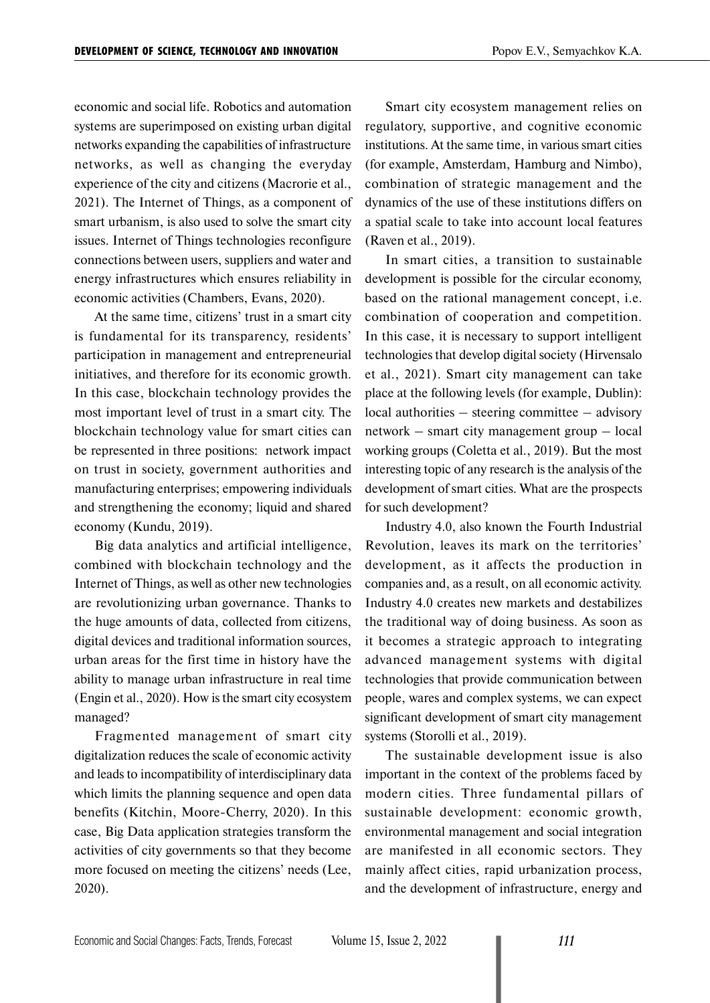economic and social life. Robotics and automation systems are superimposed on existing urban digital networks expanding the capabilities of infrastructure networks, as well as changing the everyday experience of the city and citizens (Macrorie et al., 2021). The Internet of Things, as a component of smart urbanism, is also used to solve the smart city issues. Internet of Things technologies reconfigure connections between users, suppliers and water and energy infrastructures which ensures reliability in economic activities (Chambers, Evans, 2020).

At the same time, citizens' trust in a smart city is fundamental for its transparency, residents' participation in management and entrepreneurial initiatives, and therefore for its economic growth. In this case, blockchain technology provides the most important level of trust in a smart city. The blockchain technology value for smart cities can be represented in three positions: network impact on trust in society, government authorities and manufacturing enterprises; empowering individuals and strengthening the economy; liquid and shared economy (Kundu, 2019).

Big data analytics and artificial intelligence, combined with blockchain technology and the Internet of Things, as well as other new technologies are revolutionizing urban governance. Thanks to the huge amounts of data, collected from citizens, digital devices and traditional information sources, urban areas for the first time in history have the ability to manage urban infrastructure in real time (Engin et al., 2020). How is the smart city ecosystem managed?

Fragmented management of smart city digitalization reduces the scale of economic activity and leads to incompatibility of interdisciplinary data which limits the planning sequence and open data benefits (Kitchin, Moore-Cherry, 2020). In this case, Big Data application strategies transform the activities of city governments so that they become more focused on meeting the citizens' needs (Lee, 2020).

Smart city ecosystem management relies on regulatory, supportive, and cognitive economic institutions. At the same time, in various smart cities (for example, Amsterdam, Hamburg and Nimbo), combination of strategic management and the dynamics of the use of these institutions differs on a spatial scale to take into account local features (Raven et al., 2019).

In smart cities, a transition to sustainable development is possible for the circular economy, based on the rational management concept, i.e. combination of cooperation and competition. In this case, it is necessary to support intelligent technologies that develop digital society (Hirvensalo et al., 2021). Smart city management can take place at the following levels (for example, Dublin): local authorities – steering committee – advisory network – smart city management group – local working groups (Coletta et al., 2019). But the most interesting topic of any research is the analysis of the development of smart cities. What are the prospects for such development?

Industry 4.0, also known the Fourth Industrial Revolution, leaves its mark on the territories' development, as it affects the production in companies and, as a result, on all economic activity. Industry 4.0 creates new markets and destabilizes the traditional way of doing business. As soon as it becomes a strategic approach to integrating advanced management systems with digital technologies that provide communication between people, wares and complex systems, we can expect significant development of smart city management systems (Storolli et al., 2019).

The sustainable development issue is also important in the context of the problems faced by modern cities. Three fundamental pillars of sustainable development: economic growth, environmental management and social integration are manifested in all economic sectors. They mainly affect cities, rapid urbanization process, and the development of infrastructure, energy and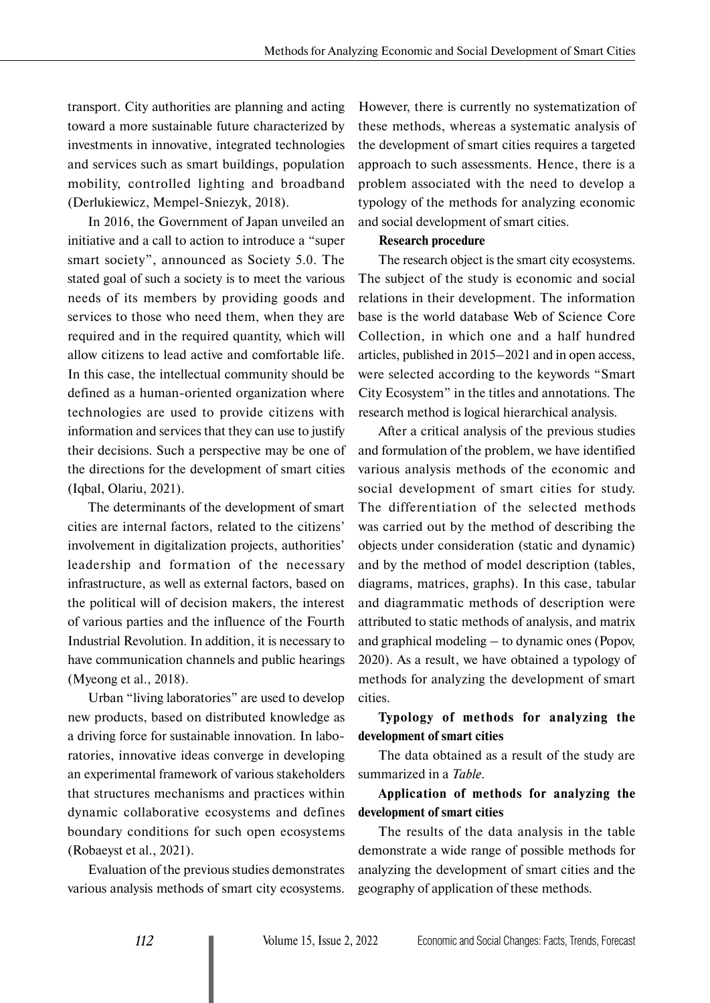transport. City authorities are planning and acting toward a more sustainable future characterized by investments in innovative, integrated technologies and services such as smart buildings, population mobility, controlled lighting and broadband (Derlukiewicz, Mempel-Sniezyk, 2018).

In 2016, the Government of Japan unveiled an initiative and a call to action to introduce a "super smart society", announced as Society 5.0. The stated goal of such a society is to meet the various needs of its members by providing goods and services to those who need them, when they are required and in the required quantity, which will allow citizens to lead active and comfortable life. In this case, the intellectual community should be defined as a human-oriented organization where technologies are used to provide citizens with information and services that they can use to justify their decisions. Such a perspective may be one of the directions for the development of smart cities (Iqbal, Olariu, 2021).

The determinants of the development of smart cities are internal factors, related to the citizens' involvement in digitalization projects, authorities' leadership and formation of the necessary infrastructure, as well as external factors, based on the political will of decision makers, the interest of various parties and the influence of the Fourth Industrial Revolution. In addition, it is necessary to have communication channels and public hearings (Myeong et al., 2018).

Urban "living laboratories" are used to develop new products, based on distributed knowledge as a driving force for sustainable innovation. In laboratories, innovative ideas converge in developing an experimental framework of various stakeholders that structures mechanisms and practices within dynamic collaborative ecosystems and defines boundary conditions for such open ecosystems (Robaeyst et al., 2021).

Evaluation of the previous studies demonstrates various analysis methods of smart city ecosystems.

However, there is currently no systematization of these methods, whereas a systematic analysis of the development of smart cities requires a targeted approach to such assessments. Hence, there is a problem associated with the need to develop a typology of the methods for analyzing economic and social development of smart cities.

#### **Research procedure**

The research object is the smart city ecosystems. The subject of the study is economic and social relations in their development. The information base is the world database Web of Science Core Collection, in which one and a half hundred articles, published in 2015–2021 and in open access, were selected according to the keywords "Smart City Ecosystem" in the titles and annotations. The research method is logical hierarchical analysis.

After a critical analysis of the previous studies and formulation of the problem, we have identified various analysis methods of the economic and social development of smart cities for study. The differentiation of the selected methods was carried out by the method of describing the objects under consideration (static and dynamic) and by the method of model description (tables, diagrams, matrices, graphs). In this case, tabular and diagrammatic methods of description were attributed to static methods of analysis, and matrix and graphical modeling – to dynamic ones (Popov, 2020). As a result, we have obtained a typology of methods for analyzing the development of smart cities.

**Typology of methods for analyzing the development of smart cities**

The data obtained as a result of the study are summarized in a *Table*.

## **Application of methods for analyzing the development of smart cities**

The results of the data analysis in the table demonstrate a wide range of possible methods for analyzing the development of smart cities and the geography of application of these methods.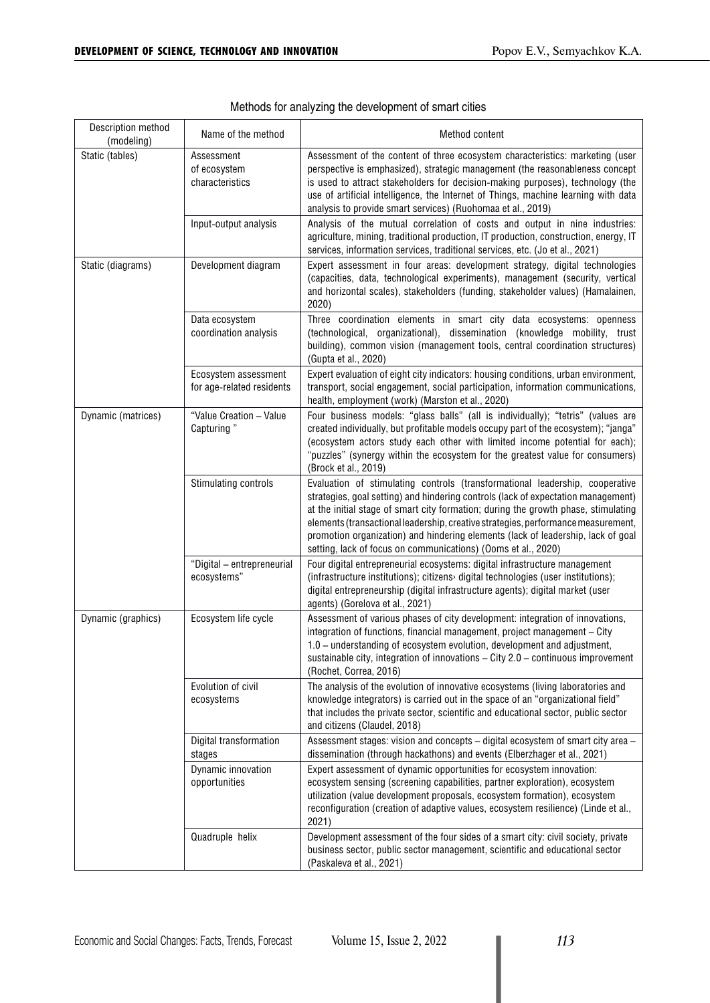| Description method<br>(modeling) | Name of the method                                | Method content                                                                                                                                                                                                                                                                                                                                                                                                                                                                                    |  |  |
|----------------------------------|---------------------------------------------------|---------------------------------------------------------------------------------------------------------------------------------------------------------------------------------------------------------------------------------------------------------------------------------------------------------------------------------------------------------------------------------------------------------------------------------------------------------------------------------------------------|--|--|
| Static (tables)                  | Assessment<br>of ecosystem<br>characteristics     | Assessment of the content of three ecosystem characteristics: marketing (user<br>perspective is emphasized), strategic management (the reasonableness concept<br>is used to attract stakeholders for decision-making purposes), technology (the<br>use of artificial intelligence, the Internet of Things, machine learning with data<br>analysis to provide smart services) (Ruohomaa et al., 2019)                                                                                              |  |  |
|                                  | Input-output analysis                             | Analysis of the mutual correlation of costs and output in nine industries:<br>agriculture, mining, traditional production, IT production, construction, energy, IT<br>services, information services, traditional services, etc. (Jo et al., 2021)                                                                                                                                                                                                                                                |  |  |
| Static (diagrams)                | Development diagram                               | Expert assessment in four areas: development strategy, digital technologies<br>(capacities, data, technological experiments), management (security, vertical<br>and horizontal scales), stakeholders (funding, stakeholder values) (Hamalainen,<br>2020)                                                                                                                                                                                                                                          |  |  |
|                                  | Data ecosystem<br>coordination analysis           | Three coordination elements in smart city data ecosystems: openness<br>(technological, organizational), dissemination (knowledge mobility, trust<br>building), common vision (management tools, central coordination structures)<br>(Gupta et al., 2020)                                                                                                                                                                                                                                          |  |  |
|                                  | Ecosystem assessment<br>for age-related residents | Expert evaluation of eight city indicators: housing conditions, urban environment,<br>transport, social engagement, social participation, information communications,<br>health, employment (work) (Marston et al., 2020)                                                                                                                                                                                                                                                                         |  |  |
| Dynamic (matrices)               | "Value Creation - Value<br>Capturing"             | Four business models: "glass balls" (all is individually); "tetris" (values are<br>created individually, but profitable models occupy part of the ecosystem); "janga"<br>(ecosystem actors study each other with limited income potential for each);<br>"puzzles" (synergy within the ecosystem for the greatest value for consumers)<br>(Brock et al., 2019)                                                                                                                                     |  |  |
|                                  | Stimulating controls                              | Evaluation of stimulating controls (transformational leadership, cooperative<br>strategies, goal setting) and hindering controls (lack of expectation management)<br>at the initial stage of smart city formation; during the growth phase, stimulating<br>elements (transactional leadership, creative strategies, performance measurement,<br>promotion organization) and hindering elements (lack of leadership, lack of goal<br>setting, lack of focus on communications) (Ooms et al., 2020) |  |  |
|                                  | "Digital - entrepreneurial<br>ecosystems"         | Four digital entrepreneurial ecosystems: digital infrastructure management<br>(infrastructure institutions); citizens> digital technologies (user institutions);<br>digital entrepreneurship (digital infrastructure agents); digital market (user<br>agents) (Gorelova et al., 2021)                                                                                                                                                                                                             |  |  |
| Dynamic (graphics)               | Ecosystem life cycle                              | Assessment of various phases of city development: integration of innovations,<br>integration of functions, financial management, project management - City<br>1.0 - understanding of ecosystem evolution, development and adjustment,<br>sustainable city, integration of innovations $-$ City 2.0 $-$ continuous improvement<br>(Rochet, Correa, 2016)                                                                                                                                           |  |  |
|                                  | Evolution of civil<br>ecosystems                  | The analysis of the evolution of innovative ecosystems (living laboratories and<br>knowledge integrators) is carried out in the space of an "organizational field"<br>that includes the private sector, scientific and educational sector, public sector<br>and citizens (Claudel, 2018)                                                                                                                                                                                                          |  |  |
|                                  | Digital transformation<br>stages                  | Assessment stages: vision and concepts – digital ecosystem of smart city area –<br>dissemination (through hackathons) and events (Elberzhager et al., 2021)                                                                                                                                                                                                                                                                                                                                       |  |  |
|                                  | Dynamic innovation<br>opportunities               | Expert assessment of dynamic opportunities for ecosystem innovation:<br>ecosystem sensing (screening capabilities, partner exploration), ecosystem<br>utilization (value development proposals, ecosystem formation), ecosystem<br>reconfiguration (creation of adaptive values, ecosystem resilience) (Linde et al.,<br>2021)                                                                                                                                                                    |  |  |
|                                  | Quadruple helix                                   | Development assessment of the four sides of a smart city: civil society, private<br>business sector, public sector management, scientific and educational sector<br>(Paskaleva et al., 2021)                                                                                                                                                                                                                                                                                                      |  |  |

|  | Methods for analyzing the development of smart cities |  |  |
|--|-------------------------------------------------------|--|--|
|  |                                                       |  |  |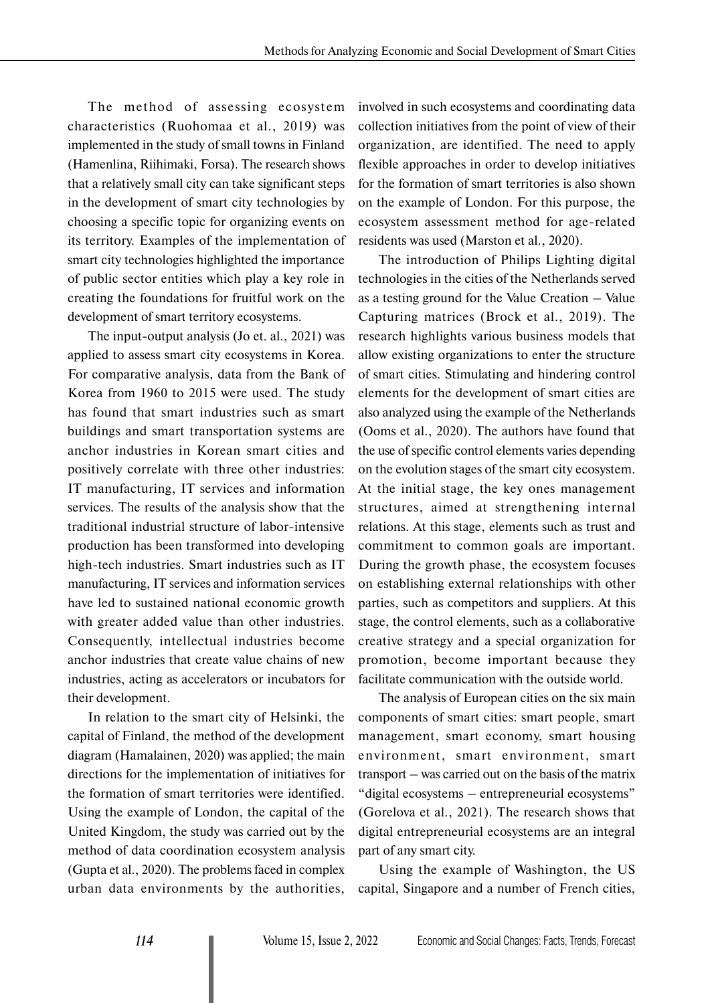The method of assessing ecosystem characteristics (Ruohomaa et al., 2019) was implemented in the study of small towns in Finland (Hamenlina, Riihimaki, Forsa). The research shows that a relatively small city can take significant steps in the development of smart city technologies by choosing a specific topic for organizing events on its territory. Examples of the implementation of smart city technologies highlighted the importance of public sector entities which play a key role in creating the foundations for fruitful work on the development of smart territory ecosystems.

The input-output analysis (Jo et. al., 2021) was applied to assess smart city ecosystems in Korea. For comparative analysis, data from the Bank of Korea from 1960 to 2015 were used. The study has found that smart industries such as smart buildings and smart transportation systems are anchor industries in Korean smart cities and positively correlate with three other industries: IT manufacturing, IT services and information services. The results of the analysis show that the traditional industrial structure of labor-intensive production has been transformed into developing high-tech industries. Smart industries such as IT manufacturing, IT services and information services have led to sustained national economic growth with greater added value than other industries. Consequently, intellectual industries become anchor industries that create value chains of new industries, acting as accelerators or incubators for their development.

In relation to the smart city of Helsinki, the capital of Finland, the method of the development diagram (Hamalainen, 2020) was applied; the main directions for the implementation of initiatives for the formation of smart territories were identified. Using the example of London, the capital of the United Kingdom, the study was carried out by the method of data coordination ecosystem analysis (Gupta et al., 2020). The problems faced in complex urban data environments by the authorities, involved in such ecosystems and coordinating data collection initiatives from the point of view of their organization, are identified. The need to apply flexible approaches in order to develop initiatives for the formation of smart territories is also shown on the example of London. For this purpose, the ecosystem assessment method for age-related residents was used (Marston et al., 2020).

The introduction of Philips Lighting digital technologies in the cities of the Netherlands served as a testing ground for the Value Creation – Value Capturing matrices (Brock et al., 2019). The research highlights various business models that allow existing organizations to enter the structure of smart cities. Stimulating and hindering control elements for the development of smart cities are also analyzed using the example of the Netherlands (Ooms et al., 2020). The authors have found that the use of specific control elements varies depending on the evolution stages of the smart city ecosystem. At the initial stage, the key ones management structures, aimed at strengthening internal relations. At this stage, elements such as trust and commitment to common goals are important. During the growth phase, the ecosystem focuses on establishing external relationships with other parties, such as competitors and suppliers. At this stage, the control elements, such as a collaborative creative strategy and a special organization for promotion, become important because they facilitate communication with the outside world.

The analysis of European cities on the six main components of smart cities: smart people, smart management, smart economy, smart housing environment, smart environment, smart transport – was carried out on the basis of the matrix "digital ecosystems – entrepreneurial ecosystems" (Gorelova et al., 2021). The research shows that digital entrepreneurial ecosystems are an integral part of any smart city.

Using the example of Washington, the US capital, Singapore and a number of French cities,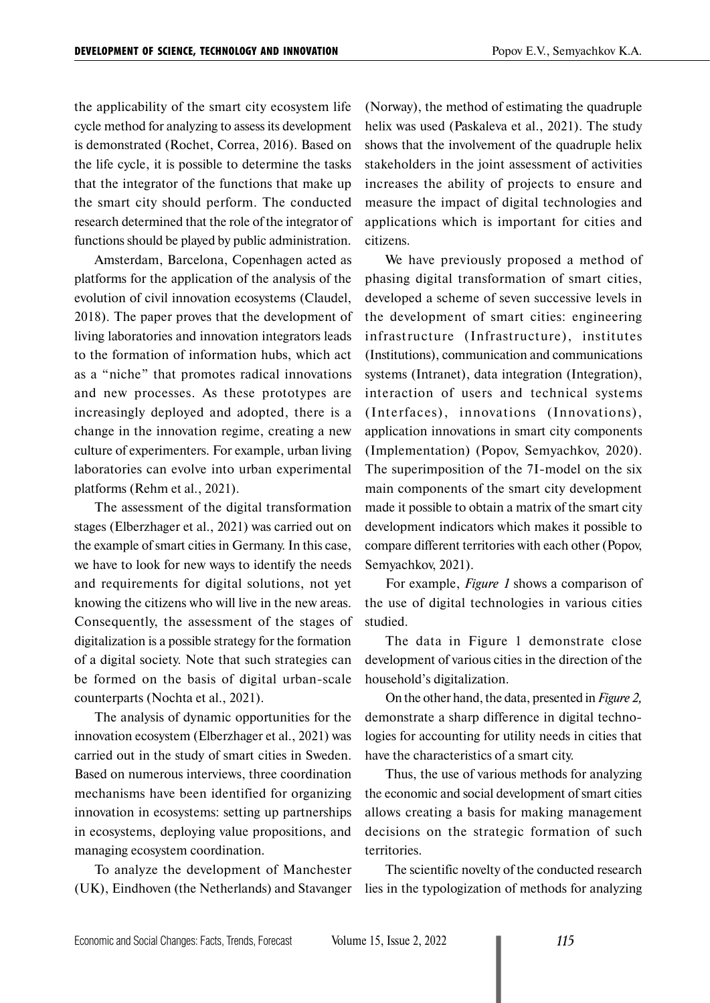the applicability of the smart city ecosystem life cycle method for analyzing to assess its development is demonstrated (Rochet, Correa, 2016). Based on the life cycle, it is possible to determine the tasks that the integrator of the functions that make up the smart city should perform. The conducted research determined that the role of the integrator of functions should be played by public administration.

Amsterdam, Barcelona, Copenhagen acted as platforms for the application of the analysis of the evolution of civil innovation ecosystems (Claudel, 2018). The paper proves that the development of living laboratories and innovation integrators leads to the formation of information hubs, which act as a "niche" that promotes radical innovations and new processes. As these prototypes are increasingly deployed and adopted, there is a change in the innovation regime, creating a new culture of experimenters. For example, urban living laboratories can evolve into urban experimental platforms (Rehm et al., 2021).

The assessment of the digital transformation stages (Elberzhager et al., 2021) was carried out on the example of smart cities in Germany. In this case, we have to look for new ways to identify the needs and requirements for digital solutions, not yet knowing the citizens who will live in the new areas. Consequently, the assessment of the stages of digitalization is a possible strategy for the formation of a digital society. Note that such strategies can be formed on the basis of digital urban-scale counterparts (Nochta et al., 2021).

The analysis of dynamic opportunities for the innovation ecosystem (Elberzhager et al., 2021) was carried out in the study of smart cities in Sweden. Based on numerous interviews, three coordination mechanisms have been identified for organizing innovation in ecosystems: setting up partnerships in ecosystems, deploying value propositions, and managing ecosystem coordination.

To analyze the development of Manchester (UK), Eindhoven (the Netherlands) and Stavanger (Norway), the method of estimating the quadruple helix was used (Paskaleva et al., 2021). The study shows that the involvement of the quadruple helix stakeholders in the joint assessment of activities increases the ability of projects to ensure and measure the impact of digital technologies and applications which is important for cities and citizens.

We have previously proposed a method of phasing digital transformation of smart cities, developed a scheme of seven successive levels in the development of smart cities: engineering infrastructure (Infrastructure), institutes (Institutions), communication and communications systems (Intranet), data integration (Integration), interaction of users and technical systems (Interfaces), innovations (Innovations), application innovations in smart city components (Implementation) (Popov, Semyachkov, 2020). The superimposition of the 7I-model on the six main components of the smart city development made it possible to obtain a matrix of the smart city development indicators which makes it possible to compare different territories with each other (Popov, Semyachkov, 2021).

For example, *Figure 1* shows a comparison of the use of digital technologies in various cities studied.

The data in Figure 1 demonstrate close development of various cities in the direction of the household's digitalization.

On the other hand, the data, presented in *Figure 2,* demonstrate a sharp difference in digital technologies for accounting for utility needs in cities that have the characteristics of a smart city.

Thus, the use of various methods for analyzing the economic and social development of smart cities allows creating a basis for making management decisions on the strategic formation of such territories.

The scientific novelty of the conducted research lies in the typologization of methods for analyzing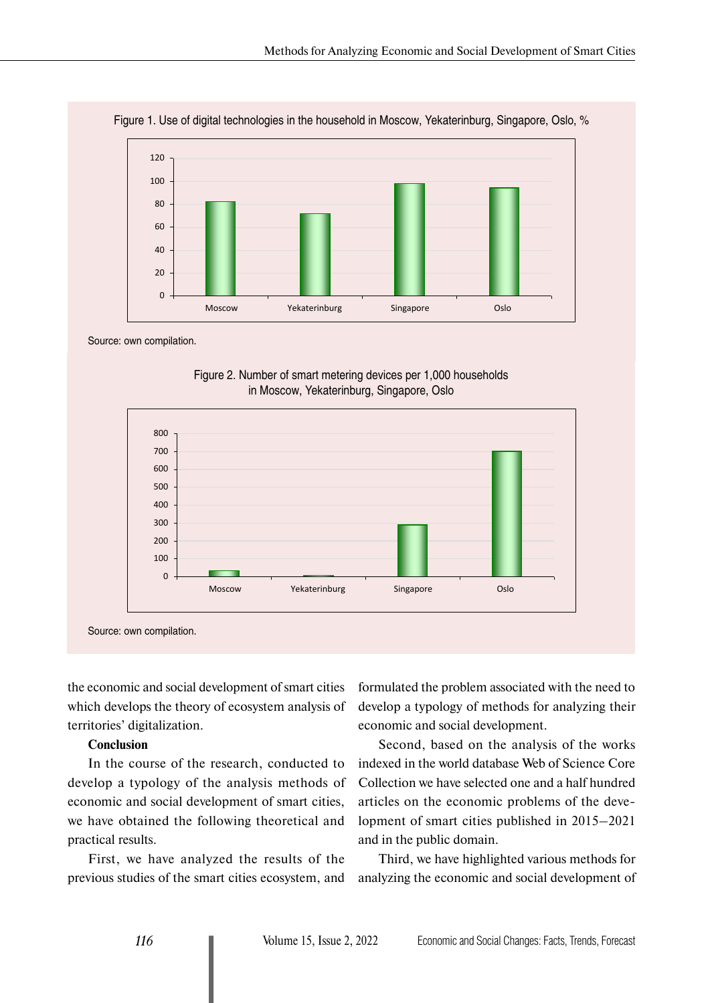

Figure 1. Use of digital technologies in the household in Moscow, Yekaterinburg, Singapore, Oslo, %

Source: own compilation.

Figure 2. Number of smart metering devices per 1,000 households in Moscow, Yekaterinburg, Singapore, Oslo



the economic and social development of smart cities which develops the theory of ecosystem analysis of territories' digitalization.

#### **Conclusion**

In the course of the research, conducted to develop a typology of the analysis methods of economic and social development of smart cities, we have obtained the following theoretical and practical results.

First, we have analyzed the results of the previous studies of the smart cities ecosystem, and

formulated the problem associated with the need to develop a typology of methods for analyzing their economic and social development.

Second, based on the analysis of the works indexed in the world database Web of Science Core Collection we have selected one and a half hundred articles on the economic problems of the development of smart cities published in 2015–2021 and in the public domain.

Third, we have highlighted various methods for analyzing the economic and social development of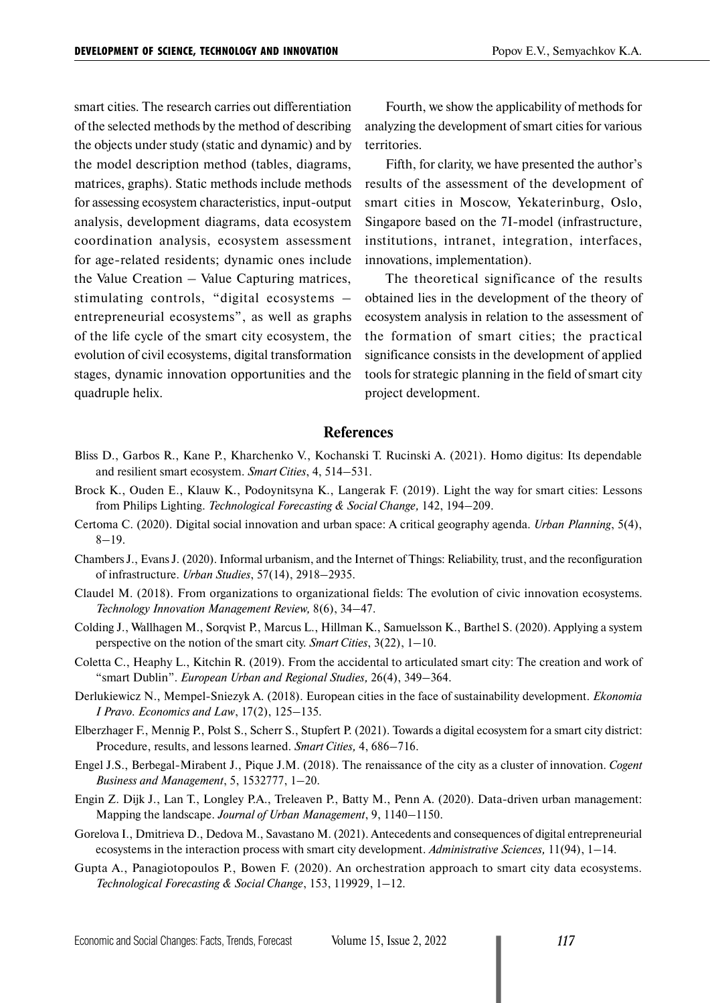smart cities. The research carries out differentiation of the selected methods by the method of describing the objects under study (static and dynamic) and by the model description method (tables, diagrams, matrices, graphs). Static methods include methods for assessing ecosystem characteristics, input-output analysis, development diagrams, data ecosystem coordination analysis, ecosystem assessment for age-related residents; dynamic ones include the Value Creation – Value Capturing matrices, stimulating controls, "digital ecosystems – entrepreneurial ecosystems", as well as graphs of the life cycle of the smart city ecosystem, the evolution of civil ecosystems, digital transformation stages, dynamic innovation opportunities and the quadruple helix.

Fourth, we show the applicability of methods for analyzing the development of smart cities for various territories.

Fifth, for clarity, we have presented the author's results of the assessment of the development of smart cities in Moscow, Yekaterinburg, Oslo, Singapore based on the 7I-model (infrastructure, institutions, intranet, integration, interfaces, innovations, implementation).

The theoretical significance of the results obtained lies in the development of the theory of ecosystem analysis in relation to the assessment of the formation of smart cities; the practical significance consists in the development of applied tools for strategic planning in the field of smart city project development.

#### **References**

- Bliss D., Garbos R., Kane P., Kharchenko V., Kochanski T. Rucinski A. (2021). Homo digitus: Its dependable and resilient smart ecosystem. *Smart Cities*, 4, 514–531.
- Brock K., Ouden E., Klauw K., Podoynitsyna K., Langerak F. (2019). Light the way for smart cities: Lessons from Philips Lighting. *Technological Forecasting & Social Change,* 142, 194–209.
- Certoma C. (2020). Digital social innovation and urban space: A critical geography agenda. *Urban Planning*, 5(4),  $8 - 19.$
- Chambers J., Evans J. (2020). Informal urbanism, and the Internet of Things: Reliability, trust, and the reconfiguration of infrastructure. *Urban Studies*, 57(14), 2918–2935.
- Claudel M. (2018). From organizations to organizational fields: The evolution of civic innovation ecosystems. *Technology Innovation Management Review,* 8(6), 34–47.
- Colding J., Wallhagen M., Sorqvist P., Marcus L., Hillman K., Samuelsson K., Barthel S. (2020). Applying a system perspective on the notion of the smart city. *Smart Cities*, 3(22), 1–10.
- Coletta C., Heaphy L., Kitchin R. (2019). From the accidental to articulated smart city: The creation and work of "smart Dublin". *European Urban and Regional Studies,* 26(4), 349–364.
- Derlukiewicz N., Mempel-Sniezyk A. (2018). European cities in the face of sustainability development. *Ekonomia I Pravo. Economics and Law*, 17(2), 125–135.
- Elberzhager F., Mennig P., Polst S., Scherr S., Stupfert P. (2021). Towards a digital ecosystem for a smart city district: Procedure, results, and lessons learned. *Smart Cities,* 4, 686–716.
- Engel J.S., Berbegal-Mirabent J., Pique J.M. (2018). The renaissance of the city as a cluster of innovation. *Cogent Business and Management*, 5, 1532777, 1–20.
- Engin Z. Dijk J., Lan T., Longley P.A., Treleaven P., Batty M., Penn A. (2020). Data-driven urban management: Mapping the landscape. *Journal of Urban Management*, 9, 1140–1150.
- Gorelova I., Dmitrieva D., Dedova M., Savastano M. (2021). Antecedents and consequences of digital entrepreneurial ecosystems in the interaction process with smart city development. *Administrative Sciences,* 11(94), 1–14.
- Gupta A., Panagiotopoulos P., Bowen F. (2020). An orchestration approach to smart city data ecosystems. *Technological Forecasting & Social Change*, 153, 119929, 1–12.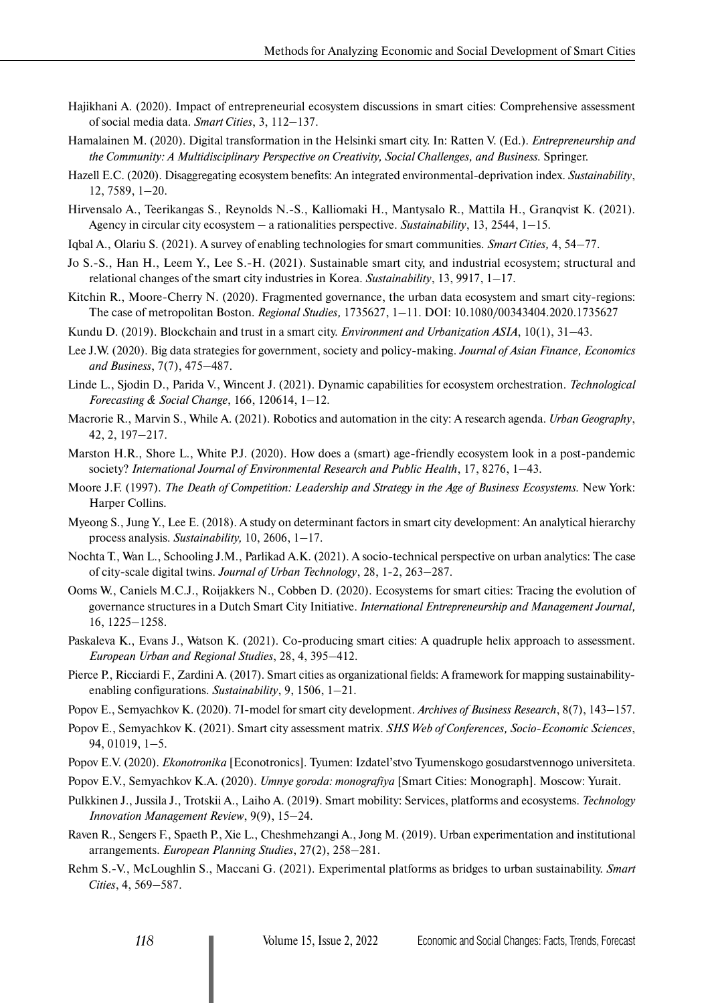- Hajikhani A. (2020). Impact of entrepreneurial ecosystem discussions in smart cities: Comprehensive assessment of social media data. *Smart Cities*, 3, 112–137.
- Hamalainen M. (2020). Digital transformation in the Helsinki smart city. In: Ratten V. (Ed.). *Entrepreneurship and the Community: A Multidisciplinary Perspective on Creativity, Social Challenges, and Business.* Springer.
- Hazell E.C. (2020). Disaggregating ecosystem benefits: An integrated environmental-deprivation index. *Sustainability*, 12, 7589, 1–20.
- Hirvensalo A., Teerikangas S., Reynolds N.-S., Kalliomaki H., Mantysalo R., Mattila H., Granqvist K. (2021). Agency in circular city ecosystem – a rationalities perspective. *Sustainability*, 13, 2544, 1–15.
- Iqbal A., Olariu S. (2021). A survey of enabling technologies for smart communities. *Smart Cities,* 4, 54–77.
- Jo S.-S., Han H., Leem Y., Lee S.-H. (2021). Sustainable smart city, and industrial ecosystem; structural and relational changes of the smart city industries in Korea. *Sustainability*, 13, 9917, 1–17.
- Kitchin R., Moore-Cherry N. (2020). Fragmented governance, the urban data ecosystem and smart city-regions: The case of metropolitan Boston. *Regional Studies,* 1735627, 1–11. DOI: 10.1080/00343404.2020.1735627
- Kundu D. (2019). Blockchain and trust in a smart city. *Environment and Urbanization ASIA*, 10(1), 31–43.
- Lee J.W. (2020). Big data strategies for government, society and policy-making. *Journal of Asian Finance, Economics and Business*, 7(7), 475–487.
- Linde L., Sjodin D., Parida V., Wincent J. (2021). Dynamic capabilities for ecosystem orchestration. *Technological Forecasting & Social Change*, 166, 120614, 1–12.
- Macrorie R., Marvin S., While A. (2021). Robotics and automation in the city: A research agenda. *Urban Geography*, 42, 2, 197–217.
- Marston H.R., Shore L., White P.J. (2020). How does a (smart) age-friendly ecosystem look in a post-pandemic society? *International Journal of Environmental Research and Public Health*, 17, 8276, 1–43.
- Moore J.F. (1997). *The Death of Competition: Leadership and Strategy in the Age of Business Ecosystems.* New York: Harper Collins.
- Myeong S., Jung Y., Lee E. (2018). A study on determinant factors in smart city development: An analytical hierarchy process analysis. *Sustainability,* 10, 2606, 1–17.
- Nochta T., Wan L., Schooling J.M., Parlikad A.K. (2021). A socio-technical perspective on urban analytics: The case of city-scale digital twins. *Journal of Urban Technology*, 28, 1-2, 263–287.
- Ooms W., Caniels M.C.J., Roijakkers N., Cobben D. (2020). Ecosystems for smart cities: Tracing the evolution of governance structures in a Dutch Smart City Initiative. *International Entrepreneurship and Management Journal,* 16, 1225–1258.
- Paskaleva K., Evans J., Watson K. (2021). Co-producing smart cities: A quadruple helix approach to assessment. *European Urban and Regional Studies*, 28, 4, 395–412.
- Pierce P., Ricciardi F., Zardini A. (2017). Smart cities as organizational fields: A framework for mapping sustainabilityenabling configurations. *Sustainability*, 9, 1506, 1–21.
- Popov E., Semyachkov K. (2020). 7I-model for smart city development. *Archives of Business Research*, 8(7), 143–157.
- Popov E., Semyachkov K. (2021). Smart city assessment matrix. *SHS Web of Conferences, Socio-Economic Sciences*, 94, 01019, 1–5.
- Popov E.V. (2020). *Ekonotronika* [Econotronics]. Tyumen: Izdatel'stvo Tyumenskogo gosudarstvennogo universiteta.
- Popov E.V., Semyachkov K.A. (2020). *Umnye goroda: monografiya* [Smart Cities: Monograph]. Moscow: Yurait.
- Pulkkinen J., Jussila J., Trotskii A., Laiho A. (2019). Smart mobility: Services, platforms and ecosystems. *Technology Innovation Management Review*, 9(9), 15–24.
- Raven R., Sengers F., Spaeth P., Xie L., Cheshmehzangi A., Jong M. (2019). Urban experimentation and institutional arrangements. *European Planning Studies*, 27(2), 258–281.
- Rehm S.-V., McLoughlin S., Maccani G. (2021). Experimental platforms as bridges to urban sustainability. *Smart Cities*, 4, 569–587.